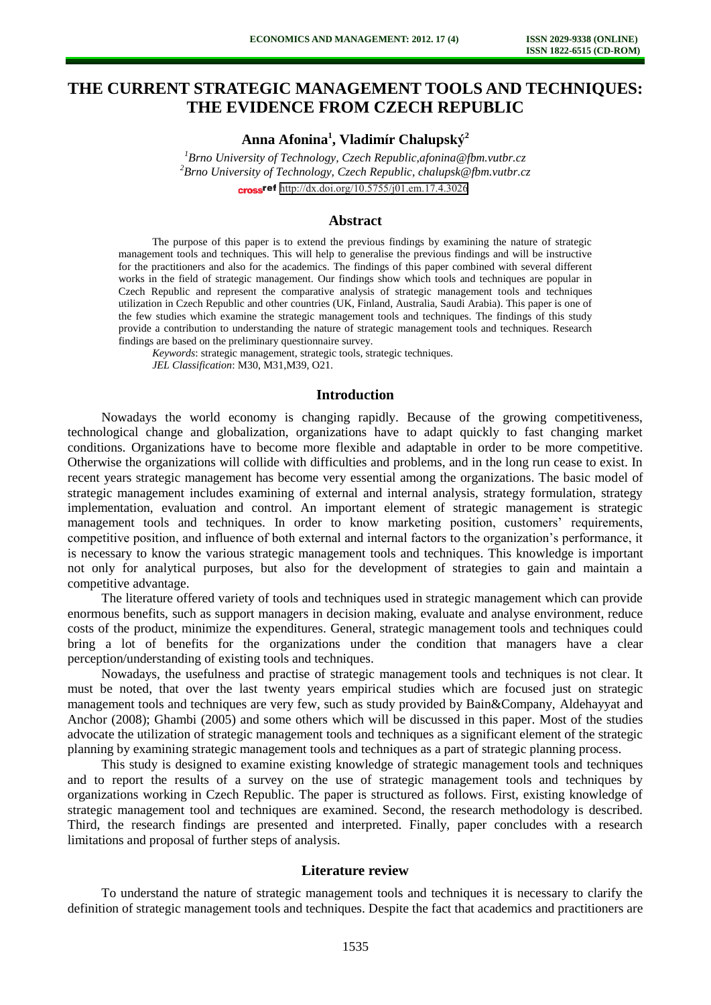# **THE CURRENT STRATEGIC MANAGEMENT TOOLS AND TECHNIQUES: THE EVIDENCE FROM CZECH REPUBLIC**

**Anna Afonina<sup>1</sup> , Vladimír Chalupský<sup>2</sup>**

*<sup>1</sup>Brno University of Technology, Czech Republic,afonina@fbm.vutbr.cz <sup>2</sup>Brno University of Technology, Czech Republic, chalupsk@fbm.vutbr.cz* cross<sup>ref</sup> <http://dx.doi.org/10.5755/j01.em.17.4.3026>

### **Abstract**

The purpose of this paper is to extend the previous findings by examining the nature of strategic management tools and techniques. This will help to generalise the previous findings and will be instructive for the practitioners and also for the academics. The findings of this paper combined with several different works in the field of strategic management. Our findings show which tools and techniques are popular in Czech Republic and represent the comparative analysis of strategic management tools and techniques utilization in Czech Republic and other countries (UK, Finland, Australia, Saudi Arabia). This paper is one of the few studies which examine the strategic management tools and techniques. The findings of this study provide a contribution to understanding the nature of strategic management tools and techniques. Research findings are based on the preliminary questionnaire survey.

*Keywords*: strategic management, strategic tools, strategic techniques. *JEL Classification*: M30, M31,M39, O21.

#### **Introduction**

Nowadays the world economy is changing rapidly. Because of the growing competitiveness, technological change and globalization, organizations have to adapt quickly to fast changing market conditions. Organizations have to become more flexible and adaptable in order to be more competitive. Otherwise the organizations will collide with difficulties and problems, and in the long run cease to exist. In recent years strategic management has become very essential among the organizations. The basic model of strategic management includes examining of external and internal analysis, strategy formulation, strategy implementation, evaluation and control. An important element of strategic management is strategic management tools and techniques. In order to know marketing position, customers' requirements, competitive position, and influence of both external and internal factors to the organization's performance, it is necessary to know the various strategic management tools and techniques. This knowledge is important not only for analytical purposes, but also for the development of strategies to gain and maintain a competitive advantage.

The literature offered variety of tools and techniques used in strategic management which can provide enormous benefits, such as support managers in decision making, evaluate and analyse environment, reduce costs of the product, minimize the expenditures. General, strategic management tools and techniques could bring a lot of benefits for the organizations under the condition that managers have a clear perception/understanding of existing tools and techniques.

Nowadays, the usefulness and practise of strategic management tools and techniques is not clear. It must be noted, that over the last twenty years empirical studies which are focused just on strategic management tools and techniques are very few, such as study provided by Bain&Company, Aldehayyat and Anchor (2008); Ghambi (2005) and some others which will be discussed in this paper. Most of the studies advocate the utilization of strategic management tools and techniques as a significant element of the strategic planning by examining strategic management tools and techniques as a part of strategic planning process.

This study is designed to examine existing knowledge of strategic management tools and techniques and to report the results of a survey on the use of strategic management tools and techniques by organizations working in Czech Republic. The paper is structured as follows. First, existing knowledge of strategic management tool and techniques are examined. Second, the research methodology is described. Third, the research findings are presented and interpreted. Finally, paper concludes with a research limitations and proposal of further steps of analysis.

### **Literature review**

To understand the nature of strategic management tools and techniques it is necessary to clarify the definition of strategic management tools and techniques. Despite the fact that academics and practitioners are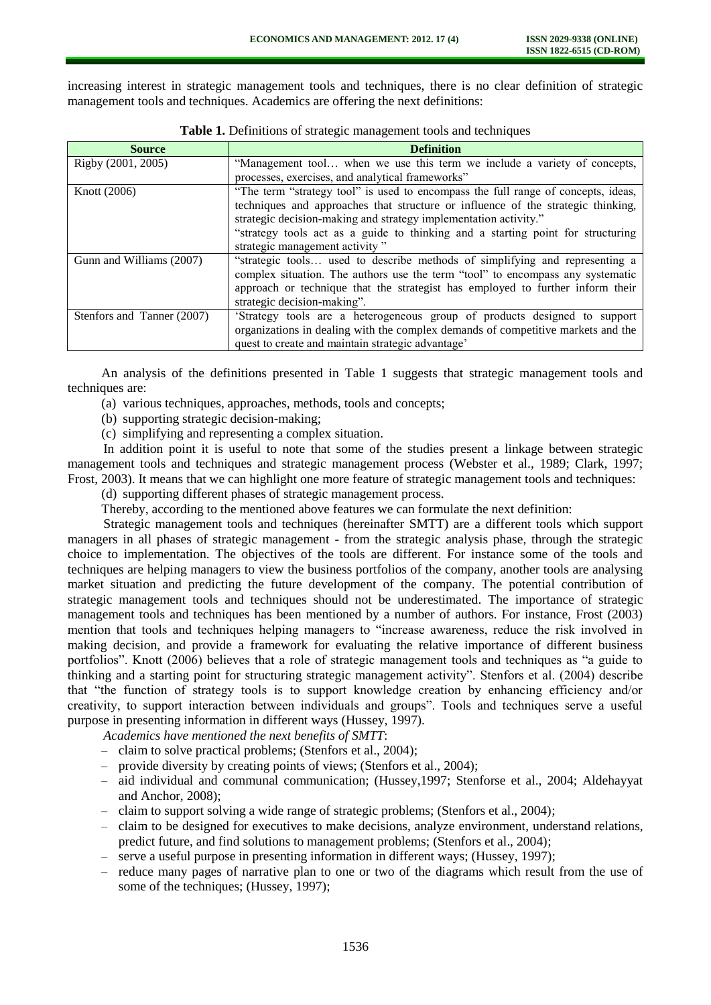increasing interest in strategic management tools and techniques, there is no clear definition of strategic management tools and techniques. Academics are offering the next definitions:

| <b>Source</b>              | <b>Definition</b>                                                                 |
|----------------------------|-----------------------------------------------------------------------------------|
| Rigby (2001, 2005)         | "Management tool when we use this term we include a variety of concepts,          |
|                            | processes, exercises, and analytical frameworks"                                  |
| Knott (2006)               | "The term "strategy tool" is used to encompass the full range of concepts, ideas, |
|                            | techniques and approaches that structure or influence of the strategic thinking,  |
|                            | strategic decision-making and strategy implementation activity."                  |
|                            | "strategy tools act as a guide to thinking and a starting point for structuring   |
|                            | strategic management activity"                                                    |
| Gunn and Williams (2007)   | "strategic tools used to describe methods of simplifying and representing a       |
|                            | complex situation. The authors use the term "tool" to encompass any systematic    |
|                            | approach or technique that the strategist has employed to further inform their    |
|                            | strategic decision-making".                                                       |
| Stenfors and Tanner (2007) | 'Strategy tools are a heterogeneous group of products designed to support         |
|                            | organizations in dealing with the complex demands of competitive markets and the  |
|                            | quest to create and maintain strategic advantage'                                 |

**Table 1.** Definitions of strategic management tools and techniques

An analysis of the definitions presented in Table 1 suggests that strategic management tools and techniques are:

- (a) various techniques, approaches, methods, tools and concepts;
- (b) supporting strategic decision-making;
- (c) simplifying and representing a complex situation.

In addition point it is useful to note that some of the studies present a linkage between strategic management tools and techniques and strategic management process (Webster et al., 1989; Clark, 1997; Frost, 2003). It means that we can highlight one more feature of strategic management tools and techniques:

(d) supporting different phases of strategic management process.

Thereby, according to the mentioned above features we can formulate the next definition:

Strategic management tools and techniques (hereinafter SMTT) are a different tools which support managers in all phases of strategic management - from the strategic analysis phase, through the strategic choice to implementation. The objectives of the tools are different. For instance some of the tools and techniques are helping managers to view the business portfolios of the company, another tools are analysing market situation and predicting the future development of the company. The potential contribution of strategic management tools and techniques should not be underestimated. The importance of strategic management tools and techniques has been mentioned by a number of authors. For instance, Frost (2003) mention that tools and techniques helping managers to "increase awareness, reduce the risk involved in making decision, and provide a framework for evaluating the relative importance of different business portfolios". Knott (2006) believes that a role of strategic management tools and techniques as "a guide to thinking and a starting point for structuring strategic management activity". Stenfors et al. (2004) describe that "the function of strategy tools is to support knowledge creation by enhancing efficiency and/or creativity, to support interaction between individuals and groups". Tools and techniques serve a useful purpose in presenting information in different ways (Hussey, 1997).

*Academics have mentioned the next benefits of SMTT*:

- claim to solve practical problems; (Stenfors et al., 2004);
- provide diversity by creating points of views; (Stenfors et al., 2004);
- aid individual and communal communication; (Hussey,1997; Stenforse et al., 2004; Aldehayyat and Anchor, 2008);
- claim to support solving a wide range of strategic problems; (Stenfors et al., 2004);
- claim to be designed for executives to make decisions, analyze environment, understand relations, predict future, and find solutions to management problems; (Stenfors et al., 2004);
- serve a useful purpose in presenting information in different ways; (Hussey, 1997);
- reduce many pages of narrative plan to one or two of the diagrams which result from the use of some of the techniques; (Hussey, 1997);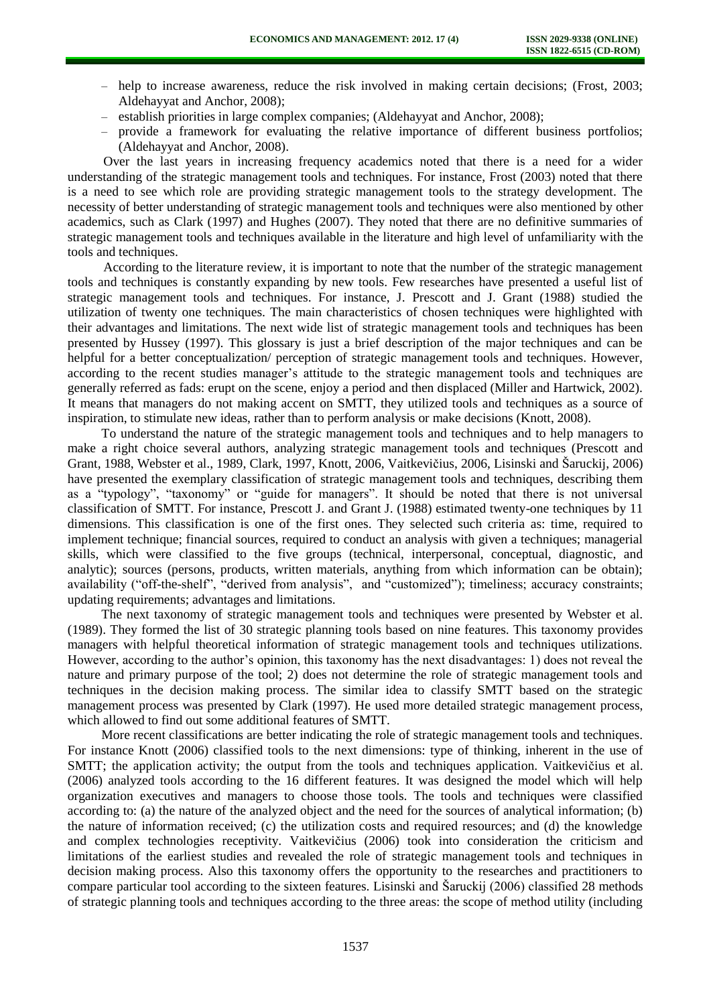- help to increase awareness, reduce the risk involved in making certain decisions; (Frost, 2003; Aldehayyat and Anchor, 2008);
- establish priorities in large complex companies; (Aldehayyat and Anchor, 2008);
- provide a framework for evaluating the relative importance of different business portfolios; (Aldehayyat and Anchor, 2008).

Over the last years in increasing frequency academics noted that there is a need for a wider understanding of the strategic management tools and techniques. For instance, Frost (2003) noted that there is a need to see which role are providing strategic management tools to the strategy development. The necessity of better understanding of strategic management tools and techniques were also mentioned by other academics, such as Clark (1997) and Hughes (2007). They noted that there are no definitive summaries of strategic management tools and techniques available in the literature and high level of unfamiliarity with the tools and techniques.

According to the literature review, it is important to note that the number of the strategic management tools and techniques is constantly expanding by new tools. Few researches have presented a useful list of strategic management tools and techniques. For instance, J. Prescott and J. Grant (1988) studied the utilization of twenty one techniques. The main characteristics of chosen techniques were highlighted with their advantages and limitations. The next wide list of strategic management tools and techniques has been presented by Hussey (1997). This glossary is just a brief description of the major techniques and can be helpful for a better conceptualization/ perception of strategic management tools and techniques. However, according to the recent studies manager's attitude to the strategic management tools and techniques are generally referred as fads: erupt on the scene, enjoy a period and then displaced (Miller and Hartwick, 2002). It means that managers do not making accent on SMTT, they utilized tools and techniques as a source of inspiration, to stimulate new ideas, rather than to perform analysis or make decisions (Knott, 2008).

To understand the nature of the strategic management tools and techniques and to help managers to make a right choice several authors, analyzing strategic management tools and techniques (Prescott and Grant, 1988, Webster et al., 1989, Clark, 1997, Knott, 2006, Vaitkevičius, 2006, Lisinski and Šaruckij, 2006) have presented the exemplary classification of strategic management tools and techniques, describing them as a "typology", "taxonomy" or "guide for managers". It should be noted that there is not universal classification of SMTT. For instance, Prescott J. and Grant J. (1988) estimated twenty-one techniques by 11 dimensions. This classification is one of the first ones. They selected such criteria as: time, required to implement technique; financial sources, required to conduct an analysis with given a techniques; managerial skills, which were classified to the five groups (technical, interpersonal, conceptual, diagnostic, and analytic); sources (persons, products, written materials, anything from which information can be obtain); availability ("off-the-shelf", "derived from analysis", and "customized"); timeliness; accuracy constraints; updating requirements; advantages and limitations.

The next taxonomy of strategic management tools and techniques were presented by Webster et al. (1989). They formed the list of 30 strategic planning tools based on nine features. This taxonomy provides managers with helpful theoretical information of strategic management tools and techniques utilizations. However, according to the author's opinion, this taxonomy has the next disadvantages: 1) does not reveal the nature and primary purpose of the tool; 2) does not determine the role of strategic management tools and techniques in the decision making process. The similar idea to classify SMTT based on the strategic management process was presented by Clark (1997). He used more detailed strategic management process, which allowed to find out some additional features of SMTT.

More recent classifications are better indicating the role of strategic management tools and techniques. For instance Knott (2006) classified tools to the next dimensions: type of thinking, inherent in the use of SMTT; the application activity; the output from the tools and techniques application. Vaitkevičius et al. (2006) analyzed tools according to the 16 different features. It was designed the model which will help organization executives and managers to choose those tools. The tools and techniques were classified according to: (a) the nature of the analyzed object and the need for the sources of analytical information; (b) the nature of information received; (c) the utilization costs and required resources; and (d) the knowledge and complex technologies receptivity. Vaitkevičius (2006) took into consideration the criticism and limitations of the earliest studies and revealed the role of strategic management tools and techniques in decision making process. Also this taxonomy offers the opportunity to the researches and practitioners to compare particular tool according to the sixteen features. Lisinski and Šaruckij (2006) classified 28 methods of strategic planning tools and techniques according to the three areas: the scope of method utility (including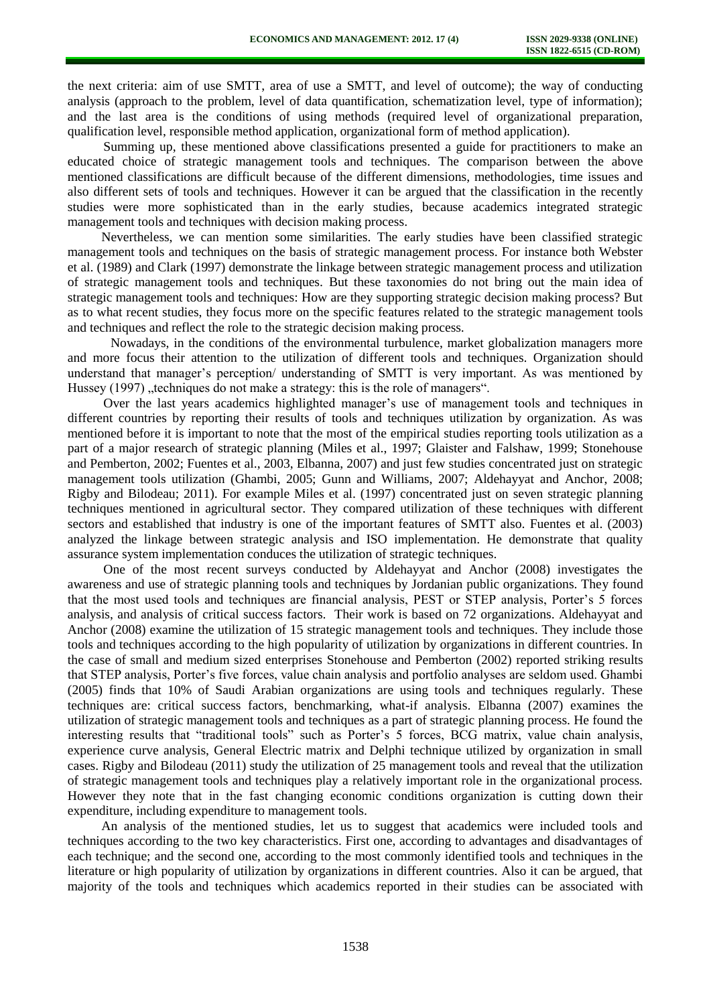the next criteria: aim of use SMTT, area of use a SMTT, and level of outcome); the way of conducting analysis (approach to the problem, level of data quantification, schematization level, type of information); and the last area is the conditions of using methods (required level of organizational preparation, qualification level, responsible method application, organizational form of method application).

Summing up, these mentioned above classifications presented a guide for practitioners to make an educated choice of strategic management tools and techniques. The comparison between the above mentioned classifications are difficult because of the different dimensions, methodologies, time issues and also different sets of tools and techniques. However it can be argued that the classification in the recently studies were more sophisticated than in the early studies, because academics integrated strategic management tools and techniques with decision making process.

Nevertheless, we can mention some similarities. The early studies have been classified strategic management tools and techniques on the basis of strategic management process. For instance both Webster et al. (1989) and Clark (1997) demonstrate the linkage between strategic management process and utilization of strategic management tools and techniques. But these taxonomies do not bring out the main idea of strategic management tools and techniques: How are they supporting strategic decision making process? But as to what recent studies, they focus more on the specific features related to the strategic management tools and techniques and reflect the role to the strategic decision making process.

Nowadays, in the conditions of the environmental turbulence, market globalization managers more and more focus their attention to the utilization of different tools and techniques. Organization should understand that manager's perception/ understanding of SMTT is very important. As was mentioned by Hussey (1997) ..techniques do not make a strategy: this is the role of managers".

Over the last years academics highlighted manager's use of management tools and techniques in different countries by reporting their results of tools and techniques utilization by organization. As was mentioned before it is important to note that the most of the empirical studies reporting tools utilization as a part of a major research of strategic planning (Miles et al., 1997; Glaister and Falshaw, 1999; Stonehouse and Pemberton, 2002; Fuentes et al., 2003, Elbanna, 2007) and just few studies concentrated just on strategic management tools utilization (Ghambi, 2005; Gunn and Williams, 2007; Aldehayyat and Anchor, 2008; Rigby and Bilodeau; 2011). For example Miles et al. (1997) concentrated just on seven strategic planning techniques mentioned in agricultural sector. They compared utilization of these techniques with different sectors and established that industry is one of the important features of SMTT also. Fuentes et al. (2003) analyzed the linkage between strategic analysis and ISO implementation. He demonstrate that quality assurance system implementation conduces the utilization of strategic techniques.

One of the most recent surveys conducted by Aldehayyat and Anchor (2008) investigates the awareness and use of strategic planning tools and techniques by Jordanian public organizations. They found that the most used tools and techniques are financial analysis, PEST or STEP analysis, Porter's 5 forces analysis, and analysis of critical success factors. Their work is based on 72 organizations. Aldehayyat and Anchor (2008) examine the utilization of 15 strategic management tools and techniques. They include those tools and techniques according to the high popularity of utilization by organizations in different countries. In the case of small and medium sized enterprises Stonehouse and Pemberton (2002) reported striking results that STEP analysis, Porter's five forces, value chain analysis and portfolio analyses are seldom used. Ghambi (2005) finds that 10% of Saudi Arabian organizations are using tools and techniques regularly. These techniques are: critical success factors, benchmarking, what-if analysis. Elbanna (2007) examines the utilization of strategic management tools and techniques as a part of strategic planning process. He found the interesting results that "traditional tools" such as Porter's 5 forces, BCG matrix, value chain analysis, experience curve analysis, General Electric matrix and Delphi technique utilized by organization in small cases. Rigby and Bilodeau (2011) study the utilization of 25 management tools and reveal that the utilization of strategic management tools and techniques play a relatively important role in the organizational process. However they note that in the fast changing economic conditions organization is cutting down their expenditure, including expenditure to management tools.

An analysis of the mentioned studies, let us to suggest that academics were included tools and techniques according to the two key characteristics. First one, according to advantages and disadvantages of each technique; and the second one, according to the most commonly identified tools and techniques in the literature or high popularity of utilization by organizations in different countries. Also it can be argued, that majority of the tools and techniques which academics reported in their studies can be associated with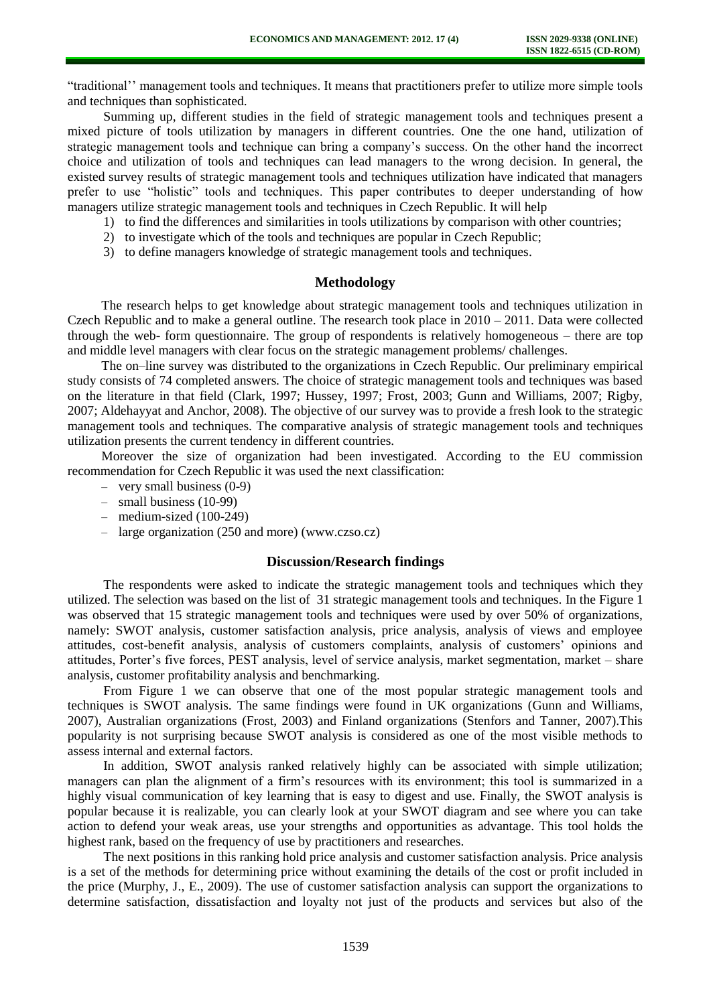"traditional'' management tools and techniques. It means that practitioners prefer to utilize more simple tools and techniques than sophisticated.

Summing up, different studies in the field of strategic management tools and techniques present a mixed picture of tools utilization by managers in different countries. One the one hand, utilization of strategic management tools and technique can bring a company's success. On the other hand the incorrect choice and utilization of tools and techniques can lead managers to the wrong decision. In general, the existed survey results of strategic management tools and techniques utilization have indicated that managers prefer to use "holistic" tools and techniques. This paper contributes to deeper understanding of how managers utilize strategic management tools and techniques in Czech Republic. It will help

- 1) to find the differences and similarities in tools utilizations by comparison with other countries;
- 2) to investigate which of the tools and techniques are popular in Czech Republic;
- 3) to define managers knowledge of strategic management tools and techniques.

## **Methodology**

The research helps to get knowledge about strategic management tools and techniques utilization in Czech Republic and to make a general outline. The research took place in 2010 – 2011. Data were collected through the web- form questionnaire. The group of respondents is relatively homogeneous – there are top and middle level managers with clear focus on the strategic management problems/ challenges.

The on–line survey was distributed to the organizations in Czech Republic. Our preliminary empirical study consists of 74 completed answers. The choice of strategic management tools and techniques was based on the literature in that field (Clark, 1997; Hussey, 1997; Frost, 2003; Gunn and Williams, 2007; Rigby, 2007; Aldehayyat and Anchor, 2008). The objective of our survey was to provide a fresh look to the strategic management tools and techniques. The comparative analysis of strategic management tools and techniques utilization presents the current tendency in different countries.

Moreover the size of organization had been investigated. According to the EU commission recommendation for Czech Republic it was used the next classification:

- very small business (0-9)
- small business (10-99)
- medium-sized (100-249)
- large organization (250 and more) [\(www.czso.cz\)](http://www.czso.cz/)

### **Discussion/Research findings**

The respondents were asked to indicate the strategic management tools and techniques which they utilized. The selection was based on the list of 31 strategic management tools and techniques. In the Figure 1 was observed that 15 strategic management tools and techniques were used by over 50% of organizations, namely: SWOT analysis, customer satisfaction analysis, price analysis, analysis of views and employee attitudes, cost-benefit analysis, analysis of customers complaints, analysis of customers' opinions and attitudes, Porter's five forces, PEST analysis, level of service analysis, market segmentation, market – share analysis, customer profitability analysis and benchmarking.

From Figure 1 we can observe that one of the most popular strategic management tools and techniques is SWOT analysis. The same findings were found in UK organizations (Gunn and Williams, 2007), Australian organizations (Frost, 2003) and Finland organizations (Stenfors and Tanner, 2007).This popularity is not surprising because SWOT analysis is considered as one of the most visible methods to assess internal and external factors.

In addition, SWOT analysis ranked relatively highly can be associated with simple utilization; managers can plan the alignment of a firm's resources with its environment; this tool is summarized in a highly visual communication of key learning that is easy to digest and use. Finally, the SWOT analysis is popular because it is realizable, you can clearly look at your SWOT diagram and see where you can take action to defend your weak areas, use your strengths and opportunities as advantage. This tool holds the highest rank, based on the frequency of use by practitioners and researches.

The next positions in this ranking hold price analysis and customer satisfaction analysis. Price analysis is a set of the methods for determining price without examining the details of the cost or profit included in the price (Murphy, J., E., 2009). The use of customer satisfaction analysis can support the organizations to determine satisfaction, dissatisfaction and loyalty not just of the products and services but also of the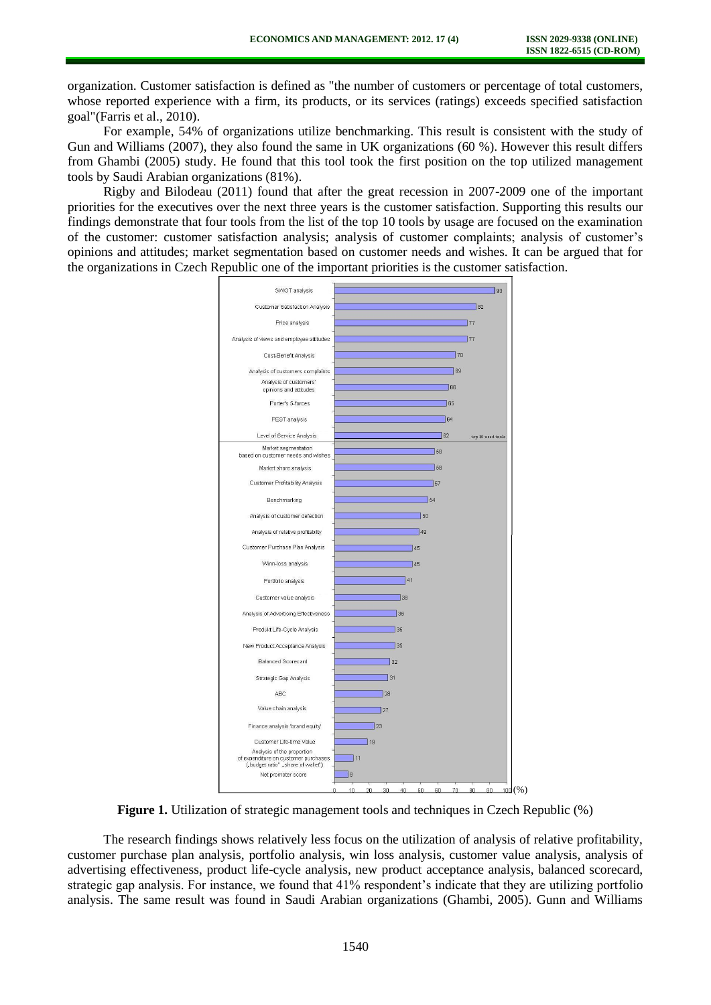organization. Customer satisfaction is defined as "the number of customers or percentage of total customers, whose reported experience with a firm, its products, or its services (ratings) exceeds specified satisfaction goal"(Farris et al., 2010).

For example, 54% of organizations utilize benchmarking. This result is consistent with the study of Gun and Williams (2007), they also found the same in UK organizations (60 %). However this result differs from Ghambi (2005) study. He found that this tool took the first position on the top utilized management tools by Saudi Arabian organizations (81%).

Rigby and Bilodeau (2011) found that after the great recession in 2007-2009 one of the important priorities for the executives over the next three years is the customer satisfaction. Supporting this results our findings demonstrate that four tools from the list of the top 10 tools by usage are focused on the examination of the customer: customer satisfaction analysis; analysis of customer complaints; analysis of customer's opinions and attitudes; market segmentation based on customer needs and wishes. It can be argued that for the organizations in Czech Republic one of the important priorities is the customer satisfaction.



**Figure 1.** Utilization of strategic management tools and techniques in Czech Republic (%)

The research findings shows relatively less focus on the utilization of analysis of relative profitability, customer purchase plan analysis, portfolio analysis, win loss analysis, customer value analysis, analysis of advertising effectiveness, product life-cycle analysis, new product acceptance analysis, balanced scorecard, strategic gap analysis. For instance, we found that 41% respondent's indicate that they are utilizing portfolio analysis. The same result was found in Saudi Arabian organizations (Ghambi, 2005). Gunn and Williams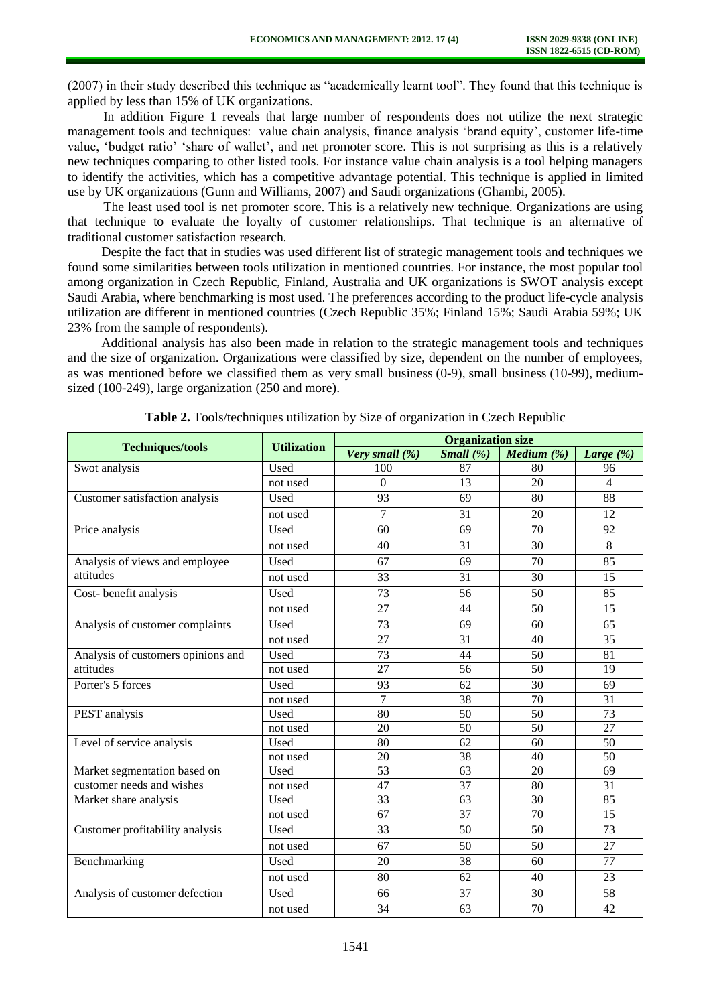(2007) in their study described this technique as "academically learnt tool". They found that this technique is applied by less than 15% of UK organizations.

In addition Figure 1 reveals that large number of respondents does not utilize the next strategic management tools and techniques: value chain analysis, finance analysis 'brand equity', customer life-time value, 'budget ratio' 'share of wallet', and net promoter score. This is not surprising as this is a relatively new techniques comparing to other listed tools. For instance value chain analysis is a tool helping managers to identify the activities, which has a competitive advantage potential. This technique is applied in limited use by UK organizations (Gunn and Williams, 2007) and Saudi organizations (Ghambi, 2005).

The least used tool is net promoter score. This is a relatively new technique. Organizations are using that technique to evaluate the loyalty of customer relationships. That technique is an alternative of traditional customer satisfaction research.

Despite the fact that in studies was used different list of strategic management tools and techniques we found some similarities between tools utilization in mentioned countries. For instance, the most popular tool among organization in Czech Republic, Finland, Australia and UK organizations is SWOT analysis except Saudi Arabia, where benchmarking is most used. The preferences according to the product life-cycle analysis utilization are different in mentioned countries (Czech Republic 35%; Finland 15%; Saudi Arabia 59%; UK 23% from the sample of respondents).

Additional analysis has also been made in relation to the strategic management tools and techniques and the size of organization. Organizations were classified by size, dependent on the number of employees, as was mentioned before we classified them as very small business (0-9), small business (10-99), mediumsized (100-249), large organization (250 and more).

|                                    | <b>Utilization</b> | <b>Organization size</b> |                 |                 |                 |
|------------------------------------|--------------------|--------------------------|-----------------|-----------------|-----------------|
| <b>Techniques/tools</b>            |                    | Very small (%)           | Small $(\% )$   | Medium $(\%)$   | Large $(\% )$   |
| Swot analysis                      | Used               | 100                      | 87              | 80              | 96              |
|                                    | not used           | $\overline{0}$           | 13              | 20              | $\overline{4}$  |
| Customer satisfaction analysis     | Used               | 93                       | 69              | 80              | 88              |
|                                    | not used           | 7                        | 31              | 20              | 12              |
| Price analysis                     | Used               | 60                       | 69              | 70              | 92              |
|                                    | not used           | 40                       | 31              | 30              | 8               |
| Analysis of views and employee     | Used               | 67                       | 69              | 70              | 85              |
| attitudes                          | not used           | 33                       | 31              | 30              | 15              |
| Cost-benefit analysis              | Used               | 73                       | 56              | 50              | 85              |
|                                    | not used           | 27                       | 44              | 50              | 15              |
| Analysis of customer complaints    | Used               | 73                       | 69              | 60              | 65              |
|                                    | not used           | 27                       | 31              | 40              | 35              |
| Analysis of customers opinions and | Used               | 73                       | 44              | 50              | 81              |
| attitudes                          | not used           | 27                       | 56              | 50              | 19              |
| Porter's 5 forces                  | Used               | 93                       | 62              | 30              | 69              |
|                                    | not used           | $\overline{7}$           | 38              | 70              | 31              |
| PEST analysis                      | Used               | 80                       | 50              | 50              | 73              |
|                                    | not used           | 20                       | 50              | 50              | 27              |
| Level of service analysis          | Used               | 80                       | 62              | 60              | 50              |
|                                    | not used           | 20                       | 38              | 40              | 50              |
| Market segmentation based on       | Used               | 53                       | 63              | 20              | 69              |
| customer needs and wishes          | not used           | 47                       | $\overline{37}$ | 80              | 31              |
| Market share analysis              | Used               | $\overline{33}$          | $\overline{63}$ | $\overline{30}$ | $\overline{85}$ |
|                                    | not used           | 67                       | 37              | 70              | 15              |
| Customer profitability analysis    | Used               | 33                       | 50              | 50              | 73              |
|                                    | not used           | 67                       | 50              | 50              | 27              |
| Benchmarking                       | Used               | 20                       | 38              | 60              | 77              |
|                                    | not used           | 80                       | 62              | 40              | 23              |
| Analysis of customer defection     | Used               | 66                       | 37              | 30              | 58              |
|                                    | not used           | 34                       | 63              | 70              | 42              |

**Table 2.** Tools/techniques utilization by Size of organization in Czech Republic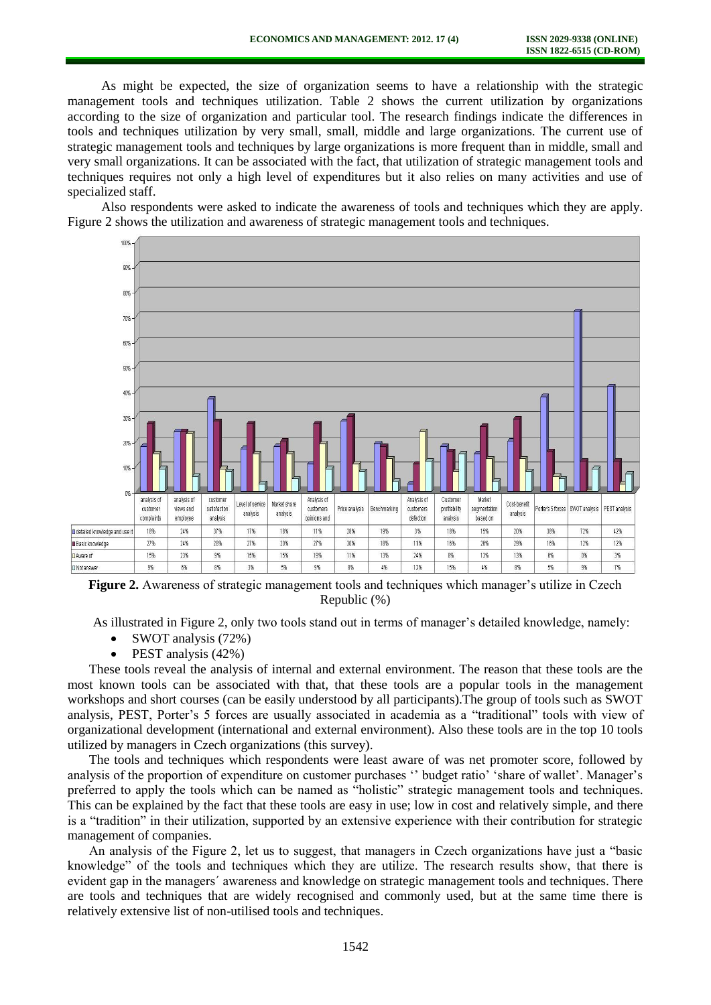As might be expected, the size of organization seems to have a relationship with the strategic management tools and techniques utilization. Table 2 shows the current utilization by organizations according to the size of organization and particular tool. The research findings indicate the differences in tools and techniques utilization by very small, small, middle and large organizations. The current use of strategic management tools and techniques by large organizations is more frequent than in middle, small and very small organizations. It can be associated with the fact, that utilization of strategic management tools and techniques requires not only a high level of expenditures but it also relies on many activities and use of specialized staff.

Also respondents were asked to indicate the awareness of tools and techniques which they are apply. Figure 2 shows the utilization and awareness of strategic management tools and techniques.



**Figure 2.** Awareness of strategic management tools and techniques which manager's utilize in Czech Republic (%)

As illustrated in Figure 2, only two tools stand out in terms of manager's detailed knowledge, namely:

- SWOT analysis (72%)
- PEST analysis (42%)

These tools reveal the analysis of internal and external environment. The reason that these tools are the most known tools can be associated with that, that these tools are a popular tools in the management workshops and short courses (can be easily understood by all participants).The group of tools such as SWOT analysis, PEST, Porter's 5 forces are usually associated in academia as a "traditional" tools with view of organizational development (international and external environment). Also these tools are in the top 10 tools utilized by managers in Czech organizations (this survey).

The tools and techniques which respondents were least aware of was net promoter score, followed by analysis of the proportion of expenditure on customer purchases '' budget ratio' 'share of wallet'. Manager's preferred to apply the tools which can be named as "holistic" strategic management tools and techniques. This can be explained by the fact that these tools are easy in use; low in cost and relatively simple, and there is a "tradition" in their utilization, supported by an extensive experience with their contribution for strategic management of companies.

An analysis of the Figure 2, let us to suggest, that managers in Czech organizations have just a "basic knowledge" of the tools and techniques which they are utilize. The research results show, that there is evident gap in the managers´ awareness and knowledge on strategic management tools and techniques. There are tools and techniques that are widely recognised and commonly used, but at the same time there is relatively extensive list of non-utilised tools and techniques.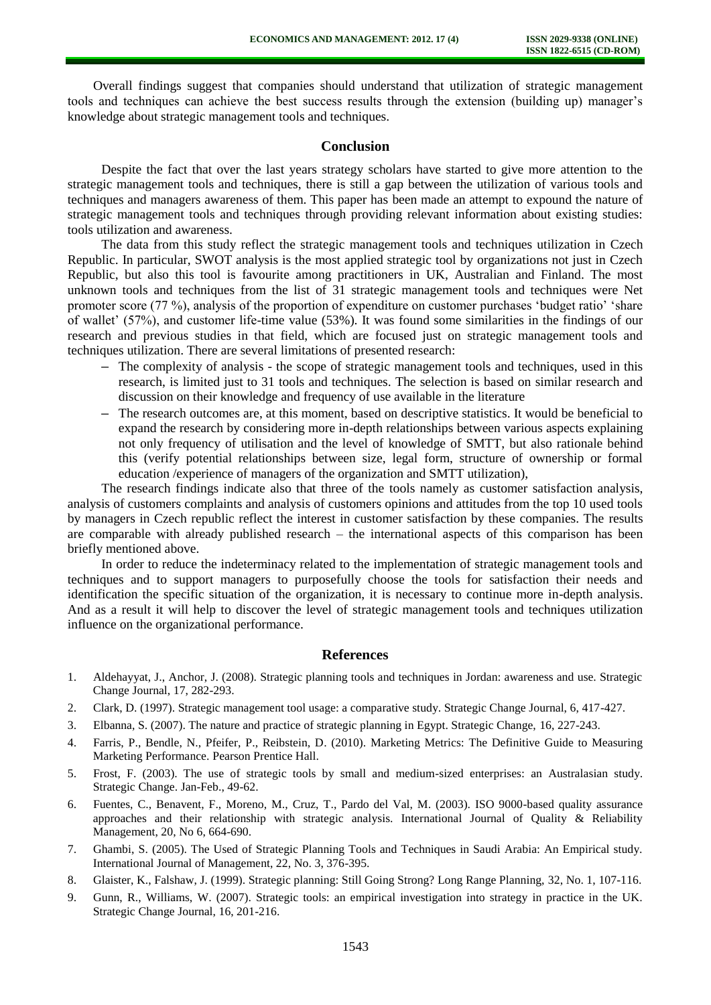Overall findings suggest that companies should understand that utilization of strategic management tools and techniques can achieve the best success results through the extension (building up) manager's knowledge about strategic management tools and techniques.

### **Conclusion**

Despite the fact that over the last years strategy scholars have started to give more attention to the strategic management tools and techniques, there is still a gap between the utilization of various tools and techniques and managers awareness of them. This paper has been made an attempt to expound the nature of strategic management tools and techniques through providing relevant information about existing studies: tools utilization and awareness.

The data from this study reflect the strategic management tools and techniques utilization in Czech Republic. In particular, SWOT analysis is the most applied strategic tool by organizations not just in Czech Republic, but also this tool is favourite among practitioners in UK, Australian and Finland. The most unknown tools and techniques from the list of 31 strategic management tools and techniques were Net promoter score (77 %), analysis of the proportion of expenditure on customer purchases 'budget ratio' 'share of wallet' (57%), and customer life-time value (53%). It was found some similarities in the findings of our research and previous studies in that field, which are focused just on strategic management tools and techniques utilization. There are several limitations of presented research:

- **–** The complexity of analysis the scope of strategic management tools and techniques, used in this research, is limited just to 31 tools and techniques. The selection is based on similar research and discussion on their knowledge and frequency of use available in the literature
- **–** The research outcomes are, at this moment, based on descriptive statistics. It would be beneficial to expand the research by considering more in-depth relationships between various aspects explaining not only frequency of utilisation and the level of knowledge of SMTT, but also rationale behind this (verify potential relationships between size, legal form, structure of ownership or formal education /experience of managers of the organization and SMTT utilization),

The research findings indicate also that three of the tools namely as customer satisfaction analysis, analysis of customers complaints and analysis of customers opinions and attitudes from the top 10 used tools by managers in Czech republic reflect the interest in customer satisfaction by these companies. The results are comparable with already published research – the international aspects of this comparison has been briefly mentioned above.

In order to reduce the indeterminacy related to the implementation of strategic management tools and techniques and to support managers to purposefully choose the tools for satisfaction their needs and identification the specific situation of the organization, it is necessary to continue more in-depth analysis. And as a result it will help to discover the level of strategic management tools and techniques utilization influence on the organizational performance.

### **References**

- 1. Aldehayyat, J., Anchor, J. (2008). Strategic planning tools and techniques in Jordan: awareness and use. Strategic Change Journal, 17, 282-293.
- 2. Clark, D. (1997). Strategic management tool usage: a comparative study. Strategic Change Journal, 6, 417-427.
- 3. Elbanna, S. (2007). The nature and practice of strategic planning in Egypt. Strategic Change, 16, 227-243.
- 4. Farris, P., Bendle, N., Pfeifer, P., Reibstein, D. (2010). Marketing Metrics: The Definitive Guide to Measuring Marketing Performance. Pearson Prentice Hall.
- 5. Frost, F. (2003). The use of strategic tools by small and medium-sized enterprises: an Australasian study. Strategic Change. Jan-Feb., 49-62.
- 6. Fuentes, C., Benavent, F., Moreno, M., Cruz, T., Pardo del Val, M. (2003). ISO 9000-based quality assurance approaches and their relationship with strategic analysis. International Journal of Quality  $\&$  Reliability Management, 20, No 6, 664-690.
- 7. Ghambi, S. (2005). The Used of Strategic Planning Tools and Techniques in Saudi Arabia: An Empirical study. International Journal of Management, 22, No. 3, 376-395.
- 8. Glaister, K., Falshaw, J. (1999). Strategic planning: Still Going Strong? Long Range Planning, 32, No. 1, 107-116.
- 9. Gunn, R., Williams, W. (2007). Strategic tools: an empirical investigation into strategy in practice in the UK. Strategic Change Journal, 16, 201-216.